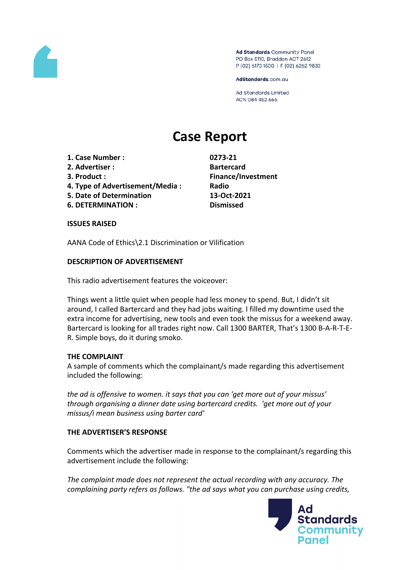

Ad Standards Community Panel PO Box 5110, Braddon ACT 2612 P (02) 6173 1500 | F (02) 6262 9833

AdStandards.com.au

Ad Standards Limited ACN 084 452 666

# **Case Report**

- **1. Case Number : 0273-21**
- **2. Advertiser : Bartercard**
- 
- **4. Type of Advertisement/Media : Radio**
- **5. Date of Determination 13-Oct-2021**
- **6. DETERMINATION : Dismissed**

**3. Product : Finance/Investment**

### **ISSUES RAISED**

AANA Code of Ethics\2.1 Discrimination or Vilification

# **DESCRIPTION OF ADVERTISEMENT**

This radio advertisement features the voiceover:

Things went a little quiet when people had less money to spend. But, I didn't sit around, I called Bartercard and they had jobs waiting. I filled my downtime used the extra income for advertising, new tools and even took the missus for a weekend away. Bartercard is looking for all trades right now. Call 1300 BARTER, That's 1300 B-A-R-T-E-R. Simple boys, do it during smoko.

### **THE COMPLAINT**

A sample of comments which the complainant/s made regarding this advertisement included the following:

*the ad is offensive to women. it says that you can 'get more out of your missus' through organising a dinner date using bartercard credits. 'get more out of your missus/i mean business using barter card'*

### **THE ADVERTISER'S RESPONSE**

Comments which the advertiser made in response to the complainant/s regarding this advertisement include the following:

*The complaint made does not represent the actual recording with any accuracy. The complaining party refers as follows. "the ad says what you can purchase using credits,*

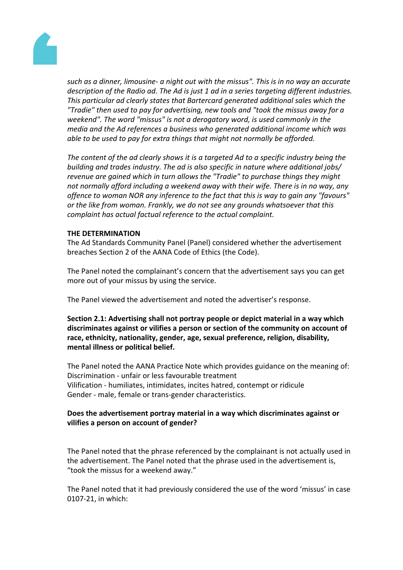

*such as a dinner, limousine- a night out with the missus". This is in no way an accurate description of the Radio ad. The Ad is just 1 ad in a series targeting different industries. This particular ad clearly states that Bartercard generated additional sales which the "Tradie" then used to pay for advertising, new tools and "took the missus away for a weekend". The word "missus" is not a derogatory word, is used commonly in the media and the Ad references a business who generated additional income which was able to be used to pay for extra things that might not normally be afforded.*

*The content of the ad clearly shows it is a targeted Ad to a specific industry being the building and trades industry. The ad is also specific in nature where additional jobs/ revenue are gained which in turn allows the "Tradie" to purchase things they might not normally afford including a weekend away with their wife. There is in no way, any offence to woman NOR any inference to the fact that this is way to gain any "favours" or the like from woman. Frankly, we do not see any grounds whatsoever that this complaint has actual factual reference to the actual complaint.*

#### **THE DETERMINATION**

The Ad Standards Community Panel (Panel) considered whether the advertisement breaches Section 2 of the AANA Code of Ethics (the Code).

The Panel noted the complainant's concern that the advertisement says you can get more out of your missus by using the service.

The Panel viewed the advertisement and noted the advertiser's response.

**Section 2.1: Advertising shall not portray people or depict material in a way which discriminates against or vilifies a person or section of the community on account of race, ethnicity, nationality, gender, age, sexual preference, religion, disability, mental illness or political belief.**

The Panel noted the AANA Practice Note which provides guidance on the meaning of: Discrimination - unfair or less favourable treatment Vilification - humiliates, intimidates, incites hatred, contempt or ridicule Gender - male, female or trans-gender characteristics.

### **Does the advertisement portray material in a way which discriminates against or vilifies a person on account of gender?**

The Panel noted that the phrase referenced by the complainant is not actually used in the advertisement. The Panel noted that the phrase used in the advertisement is, "took the missus for a weekend away."

The Panel noted that it had previously considered the use of the word 'missus' in case 0107-21, in which: